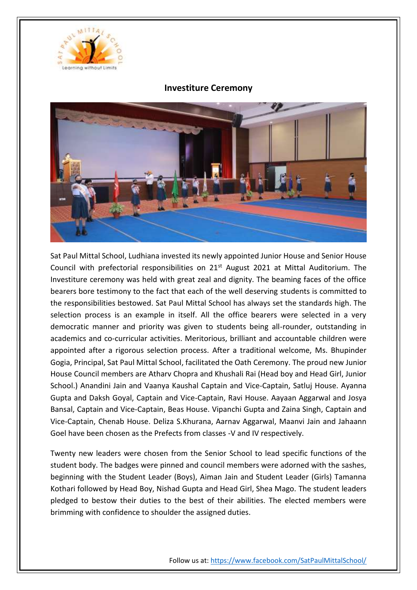

## **Investiture Ceremony**



Sat Paul Mittal School, Ludhiana invested its newly appointed Junior House and Senior House Council with prefectorial responsibilities on  $21<sup>st</sup>$  August 2021 at Mittal Auditorium. The Investiture ceremony was held with great zeal and dignity. The beaming faces of the office bearers bore testimony to the fact that each of the well deserving students is committed to the responsibilities bestowed. Sat Paul Mittal School has always set the standards high. The selection process is an example in itself. All the office bearers were selected in a very democratic manner and priority was given to students being all-rounder, outstanding in academics and co-curricular activities. Meritorious, brilliant and accountable children were appointed after a rigorous selection process. After a traditional welcome, Ms. Bhupinder Gogia, Principal, Sat Paul Mittal School, facilitated the Oath Ceremony. The proud new Junior House Council members are Atharv Chopra and Khushali Rai (Head boy and Head Girl, Junior School.) Anandini Jain and Vaanya Kaushal Captain and Vice-Captain, Satluj House. Ayanna Gupta and Daksh Goyal, Captain and Vice-Captain, Ravi House. Aayaan Aggarwal and Josya Bansal, Captain and Vice-Captain, Beas House. Vipanchi Gupta and Zaina Singh, Captain and Vice-Captain, Chenab House. Deliza S.Khurana, Aarnav Aggarwal, Maanvi Jain and Jahaann Goel have been chosen as the Prefects from classes -V and IV respectively.

Twenty new leaders were chosen from the Senior School to lead specific functions of the student body. The badges were pinned and council members were adorned with the sashes, beginning with the Student Leader (Boys), Aiman Jain and Student Leader (Girls) Tamanna Kothari followed by Head Boy, Nishad Gupta and Head Girl, Shea Mago. The student leaders pledged to bestow their duties to the best of their abilities. The elected members were brimming with confidence to shoulder the assigned duties.